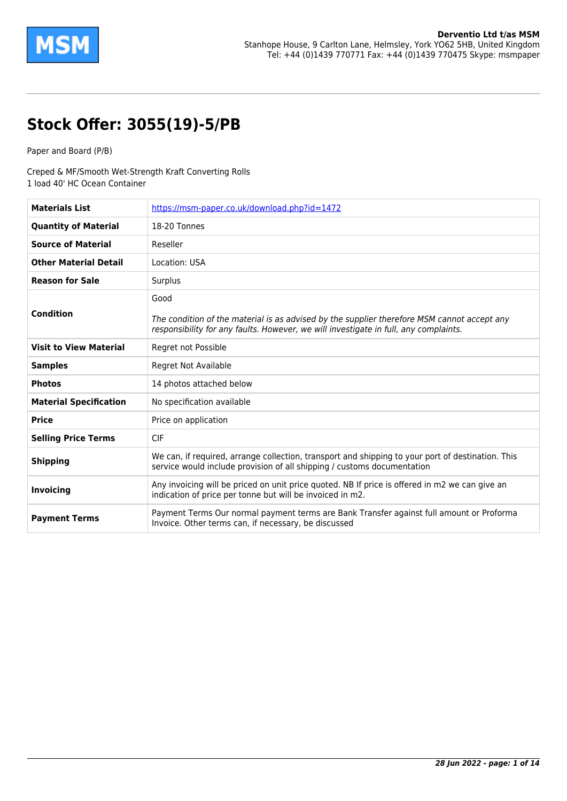

## **Stock Offer: 3055(19)-5/PB**

Paper and Board (P/B)

## Creped & MF/Smooth Wet-Strength Kraft Converting Rolls 1 load 40' HC Ocean Container

| <b>Materials List</b>         | https://msm-paper.co.uk/download.php?id=1472                                                                                                                                        |
|-------------------------------|-------------------------------------------------------------------------------------------------------------------------------------------------------------------------------------|
| <b>Quantity of Material</b>   | 18-20 Tonnes                                                                                                                                                                        |
| <b>Source of Material</b>     | Reseller                                                                                                                                                                            |
| <b>Other Material Detail</b>  | Location: USA                                                                                                                                                                       |
| <b>Reason for Sale</b>        | Surplus                                                                                                                                                                             |
| Condition                     | Good                                                                                                                                                                                |
|                               | The condition of the material is as advised by the supplier therefore MSM cannot accept any<br>responsibility for any faults. However, we will investigate in full, any complaints. |
| <b>Visit to View Material</b> | Regret not Possible                                                                                                                                                                 |
| <b>Samples</b>                | Regret Not Available                                                                                                                                                                |
| <b>Photos</b>                 | 14 photos attached below                                                                                                                                                            |
| <b>Material Specification</b> | No specification available                                                                                                                                                          |
| <b>Price</b>                  | Price on application                                                                                                                                                                |
| <b>Selling Price Terms</b>    | <b>CIF</b>                                                                                                                                                                          |
| <b>Shipping</b>               | We can, if required, arrange collection, transport and shipping to your port of destination. This<br>service would include provision of all shipping / customs documentation        |
| <b>Invoicing</b>              | Any invoicing will be priced on unit price quoted. NB If price is offered in m2 we can give an<br>indication of price per tonne but will be invoiced in m2.                         |
| <b>Payment Terms</b>          | Payment Terms Our normal payment terms are Bank Transfer against full amount or Proforma<br>Invoice. Other terms can, if necessary, be discussed                                    |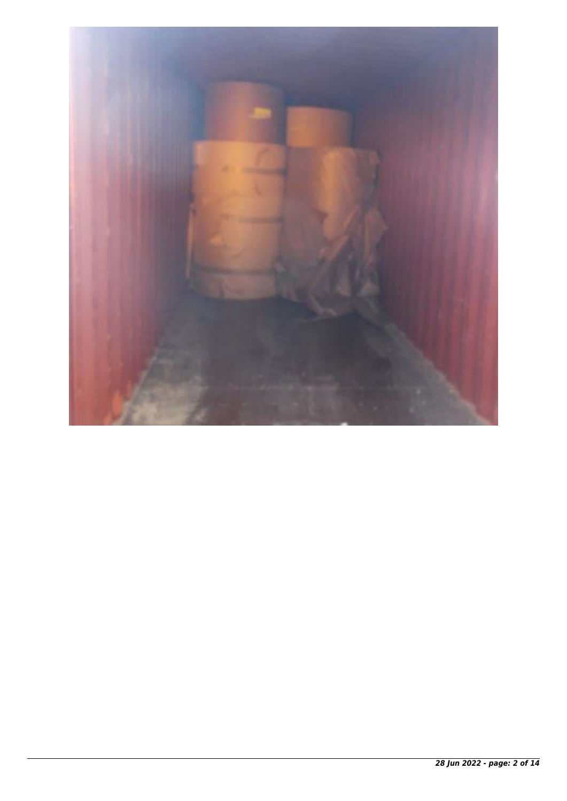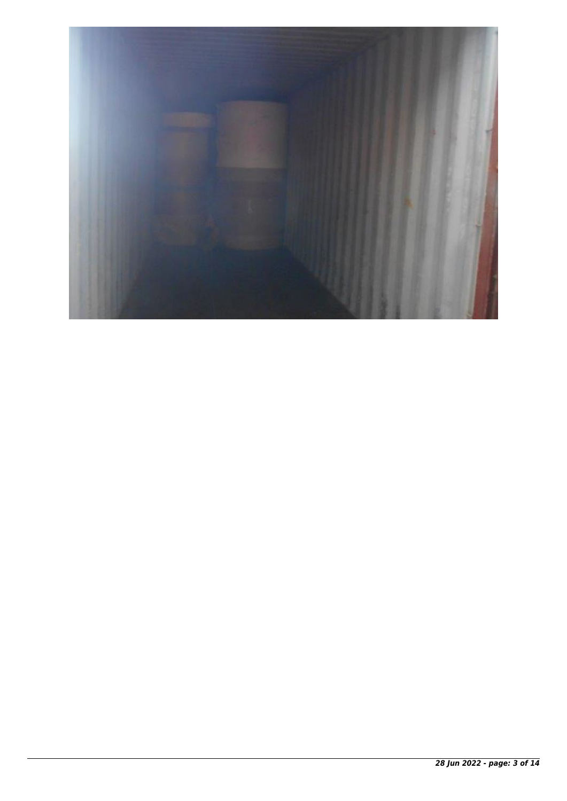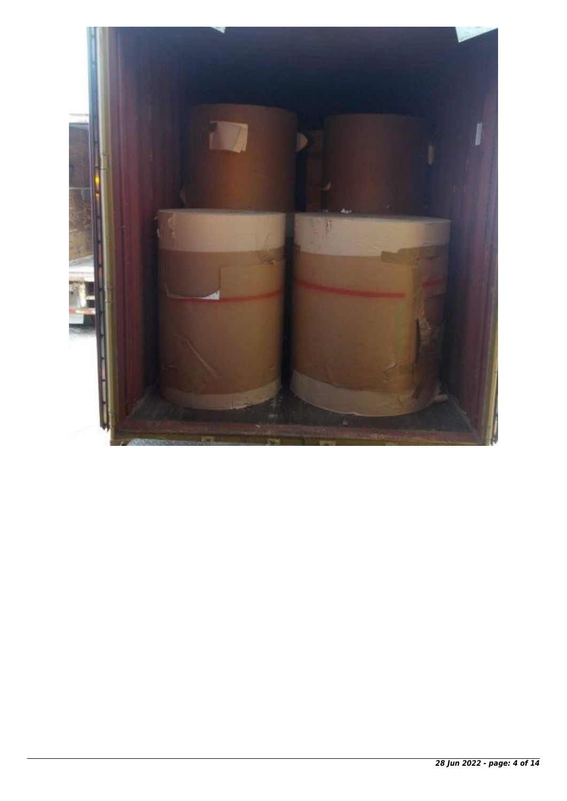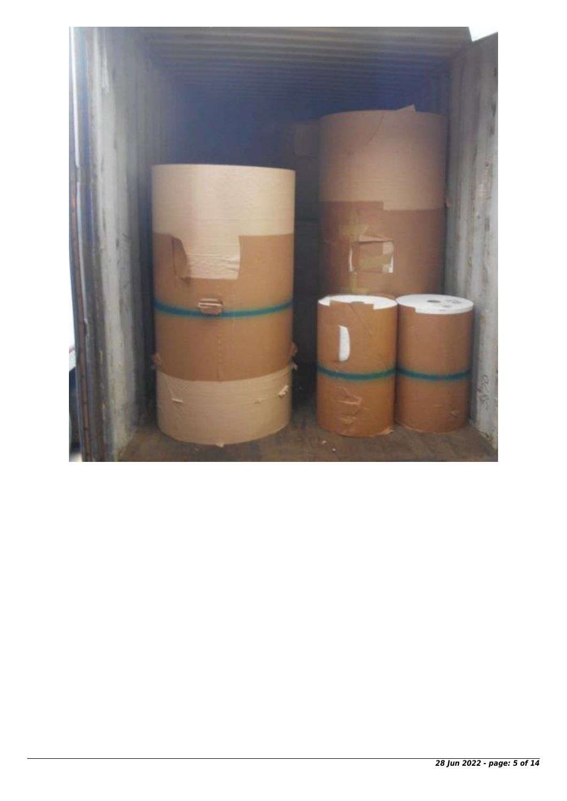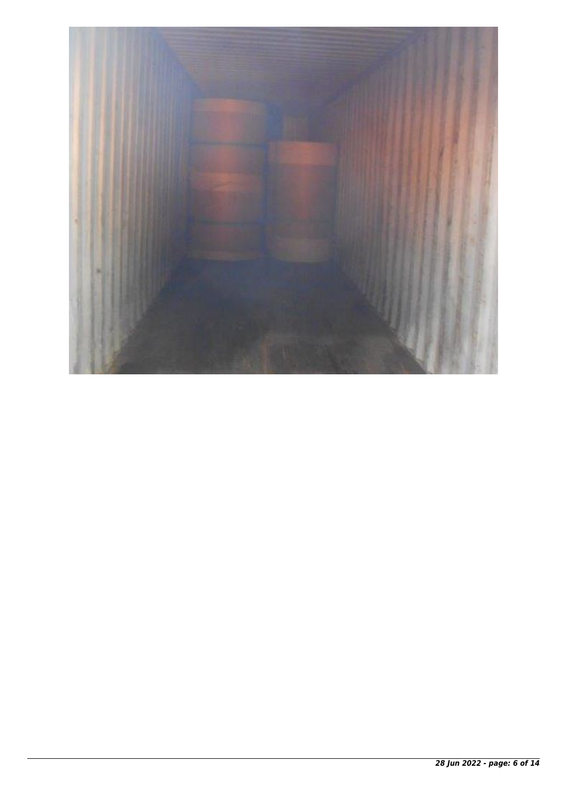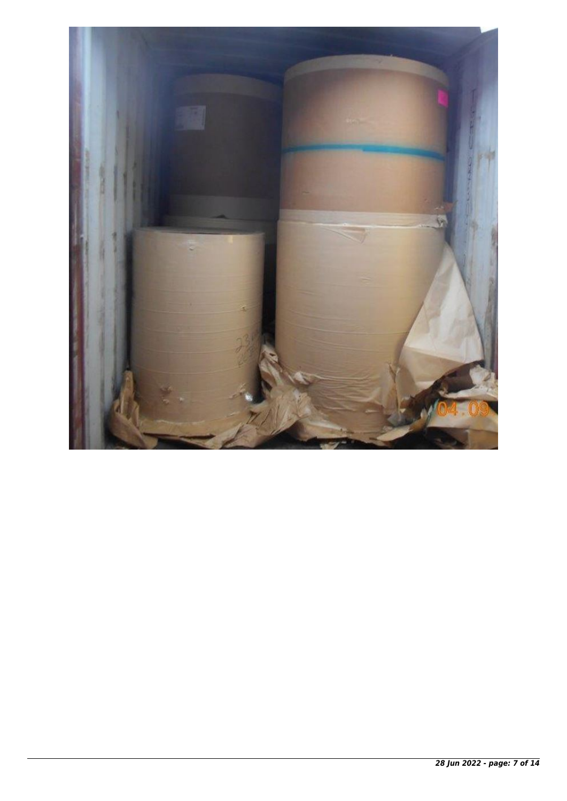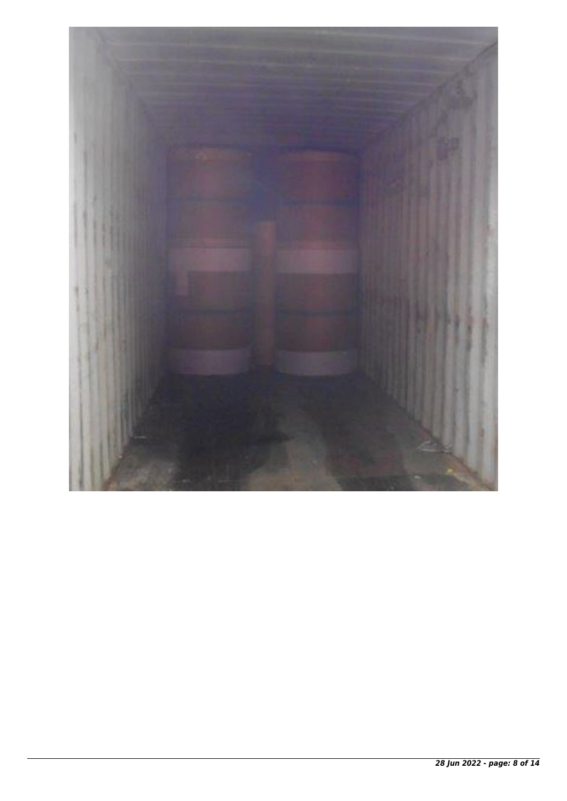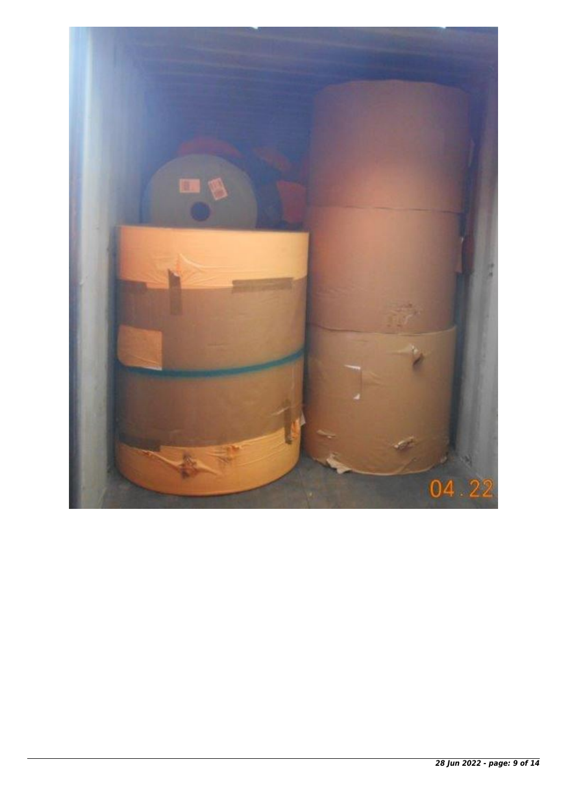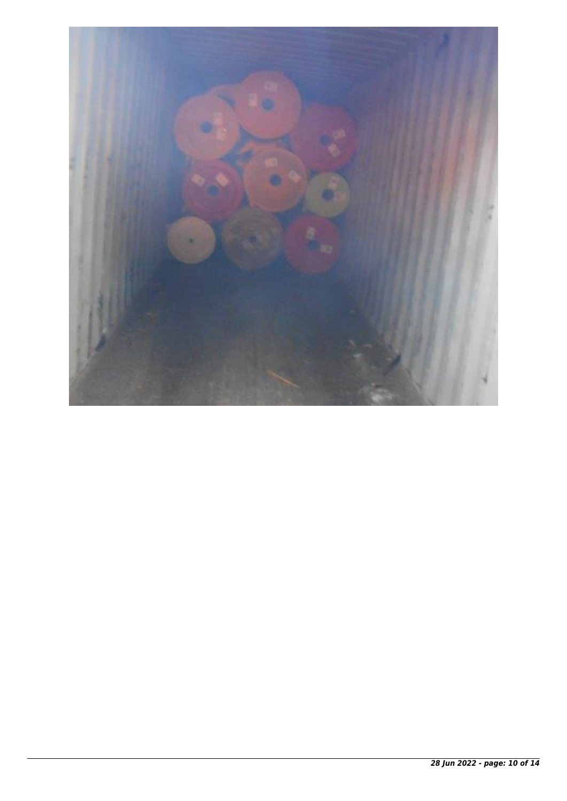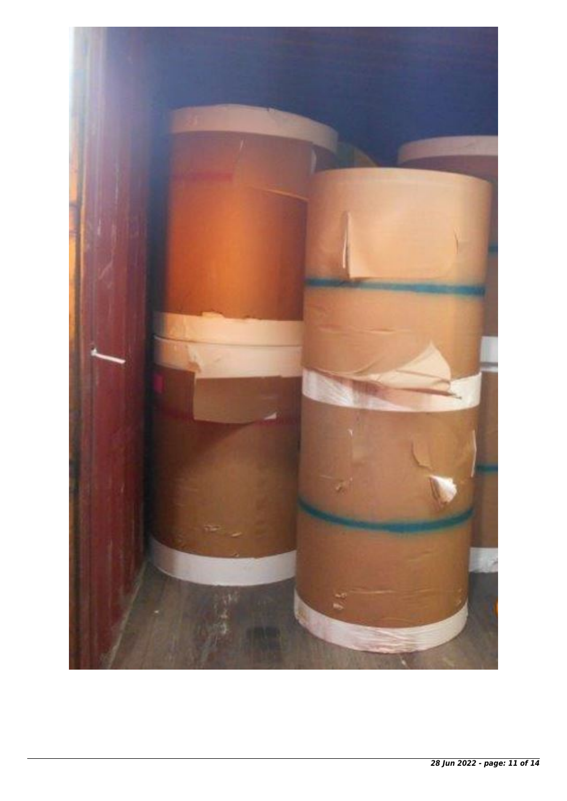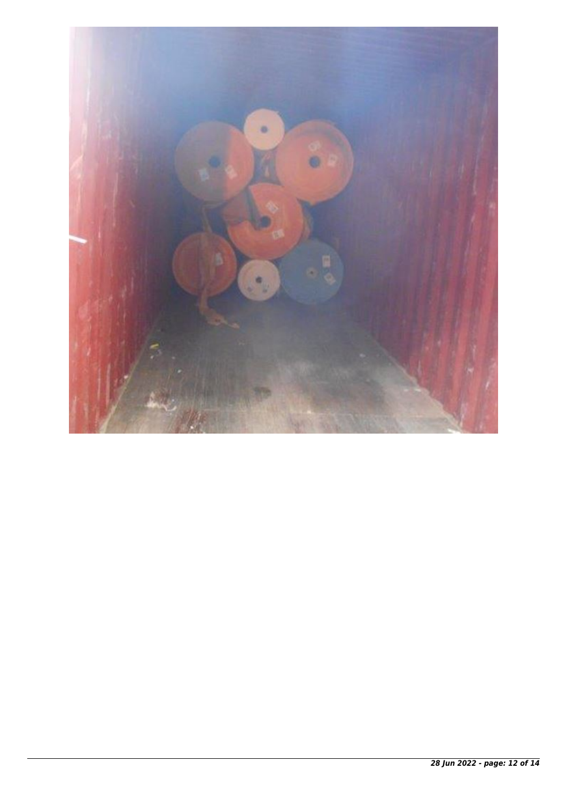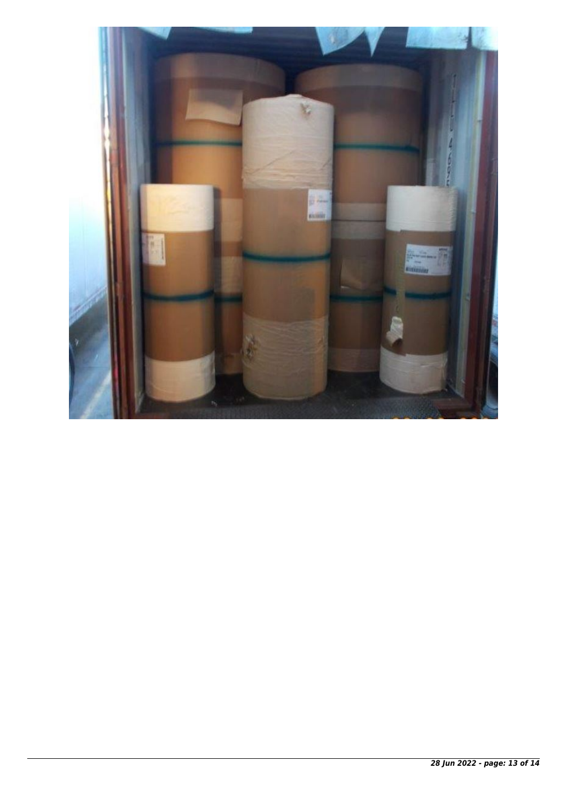